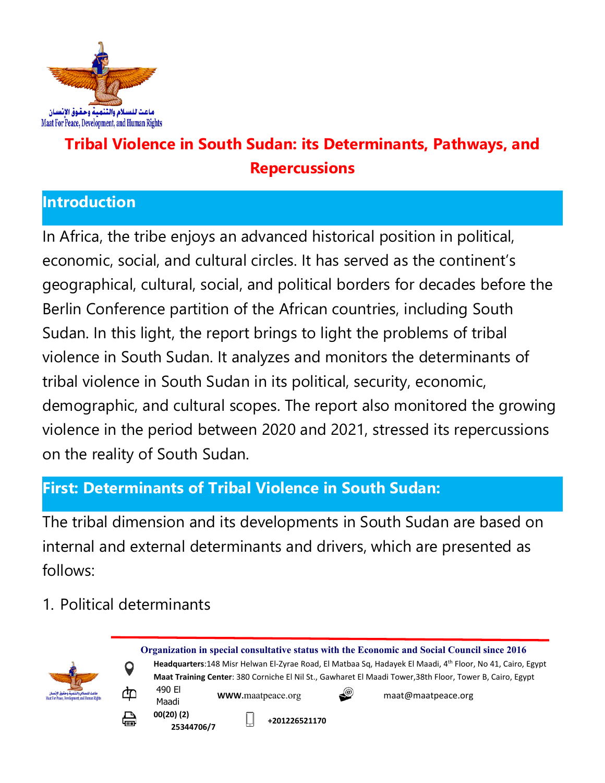

# **Tribal Violence in South Sudan: its Determinants, Pathways, and Repercussions**

#### **Introduction**

In Africa, the tribe enjoys an advanced historical position in political, economic, social, and cultural circles. It has served as the continent'<sup>s</sup> geographical, cultural, social, and political borders for decades before the Berlin Conference partition of the African countries, including South Sudan. In this light, the report brings to light the problems of tribal violence in South Sudan. It analyzes and monitors the determinants of tribal violence in South Sudan in its political, security, economic, demographic, and cultural scopes. The report also monitored the growing violence in the period between 2020 and 2021, stressed its repercussions on the reality of South Sudan.

### **First: Determinants of Tribal Violence in South Sudan:**

The tribal dimension and its developments in South Sudan are based on internal and external determinants and drivers, which are presented as follows:

1. Political determinants

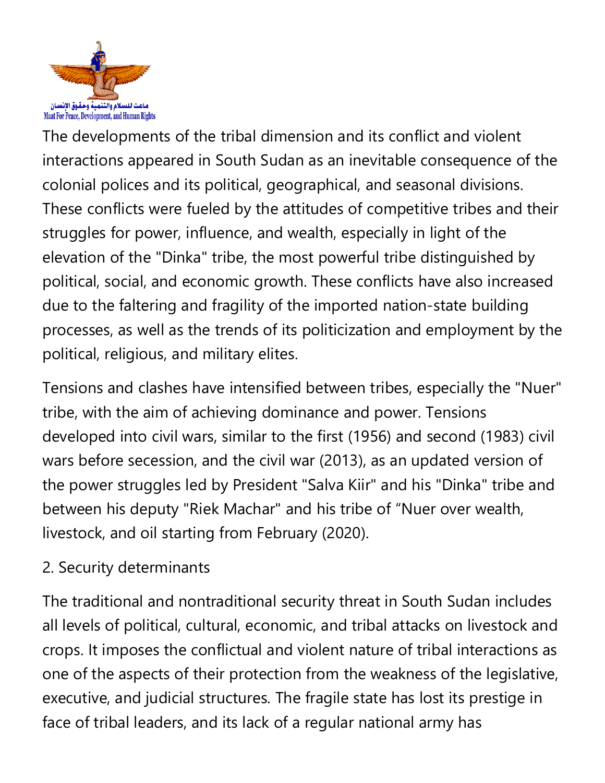

The developments of the tribal dimension and its conflict and violent interactions appeared in South Sudan as an inevitable consequence of the colonial polices and its political, geographical, and seasonal divisions. These conflicts were fueled by the attitudes of competitive tribes and their struggles for power, influence, and wealth, especially in light of the elevation of the "Dinka" tribe, the most powerful tribe distinguished by political, social, and economic growth. These conflicts have also increased due to the faltering and fragility of the imported nation-state building processes, as well as the trends of its politicization and employment by the political, religious, and military elites.

Tensions and clashes have intensified between tribes, especially the "Nuer" tribe, with the aim of achieving dominance and power. Tensions developed into civil wars, similar to the first (1956) and second (1983) civil wars before secession, and the civil war (2013), as an updated version of the power struggles led by President "Salva Kiir" and his "Dinka" tribe and between his deputy "Riek Machar" and his tribe of "Nuer over wealth, livestock, and oil starting from February (2020).

# 2. Security determinants

The traditional and nontraditional security threat in South Sudan includes all levels of political, cultural, economic, and tribal attacks on livestock and crops. It imposes the conflictual and violent nature of tribal interactions as one of the aspects of their protection from the weakness of the legislative, executive, and judicial structures. The fragile state has lost its prestige in face of tribal leaders, and its lack of <sup>a</sup> regular national army has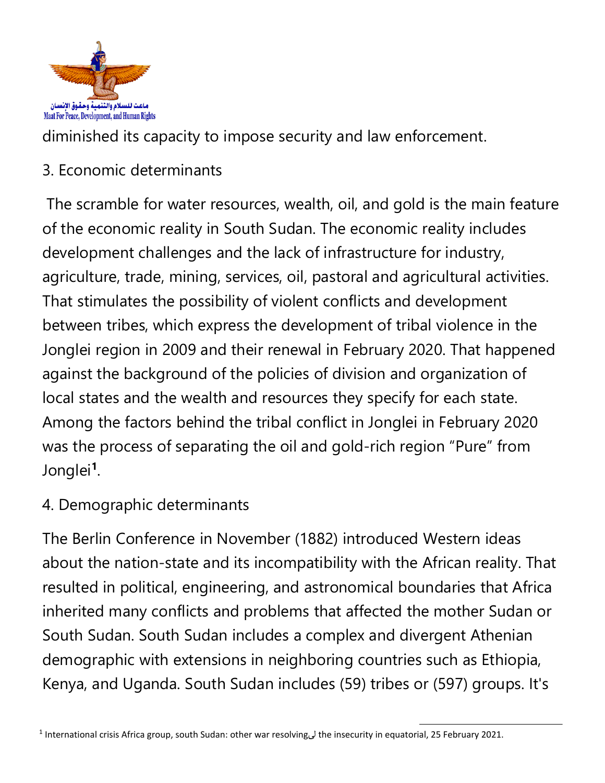

diminished its capacity to impose security and law enforcement.

3. Economic determinants

The scramble for water resources, wealth, oil, and gold is the main feature of the economic reality in South Sudan. The economic reality includes development challenges and the lack of infrastructure for industry, agriculture, trade, mining, services, oil, pastoral and agricultural activities. That stimulates the possibility of violent conflicts and development between tribes, which express the development of tribal violence in the Jonglei region in 2009 and their renewal in February 2020. That happened against the background of the policies of division and organization of local states and the wealth and resources they specify for each state. Among the factors behind the tribal conflict in Jonglei in February 2020 was the process of separating the oil and gold-rich region "Pure" from Jonglei **1** .

4. Demographic determinants

The Berlin Conference in November (1882) introduced Western ideas about the nation-state and its incompatibility with the African reality. That resulted in political, engineering, and astronomical boundaries that Africa inherited many conflicts and problems that affected the mother Sudan or South Sudan. South Sudan includes <sup>a</sup> complex and divergent Athenian demographic with extensions in neighboring countries such as Ethiopia, Kenya, and Uganda. South Sudan includes (59) tribes or (597) groups. It's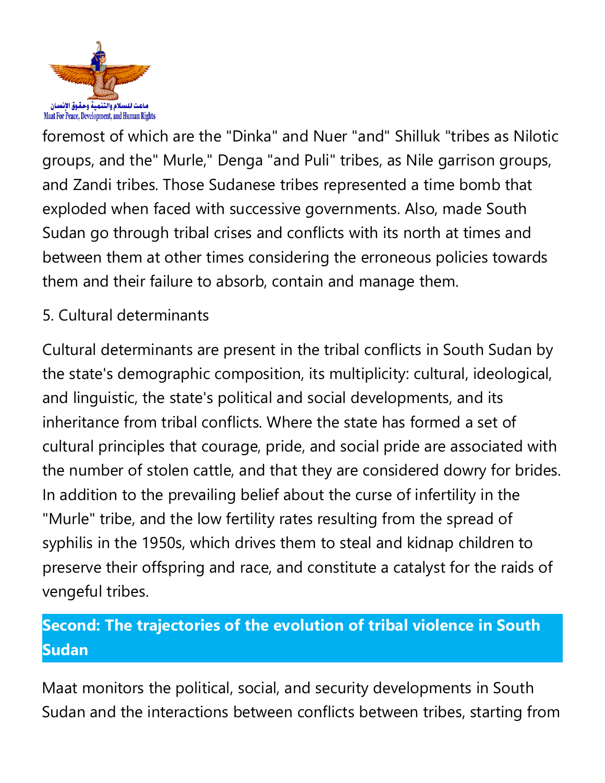

foremost of which are the "Dinka" and Nuer "and" Shilluk "tribes as Nilotic groups, and the" Murle," Denga "and Puli" tribes, as Nile garrison groups, and Zandi tribes. Those Sudanese tribes represented <sup>a</sup> time bomb that exploded when faced with successive governments. Also, made South Sudan go through tribal crises and conflicts with its north at times and between them at other times considering the erroneous policies towards them and their failure to absorb, contain and manage them.

# 5. Cultural determinants

Cultural determinants are present in the tribal conflicts in South Sudan by the state's demographic composition, its multiplicity: cultural, ideological, and linguistic, the state's political and social developments, and its inheritance from tribal conflicts. Where the state has formed <sup>a</sup> set of cultural principles that courage, pride, and social pride are associated with the number of stolen cattle, and that they are considered dowry for brides. In addition to the prevailing belief about the curse of infertility in the "Murle" tribe, and the low fertility rates resulting from the spread of syphilis in the 1950s, which drives them to steal and kidnap children to preserve their offspring and race, and constitute <sup>a</sup> catalyst for the raids of vengeful tribes.

# **Second: The trajectories of the evolution of tribal violence in South Sudan**

Maat monitors the political, social, and security developments in South Sudan and the interactions between conflicts between tribes, starting from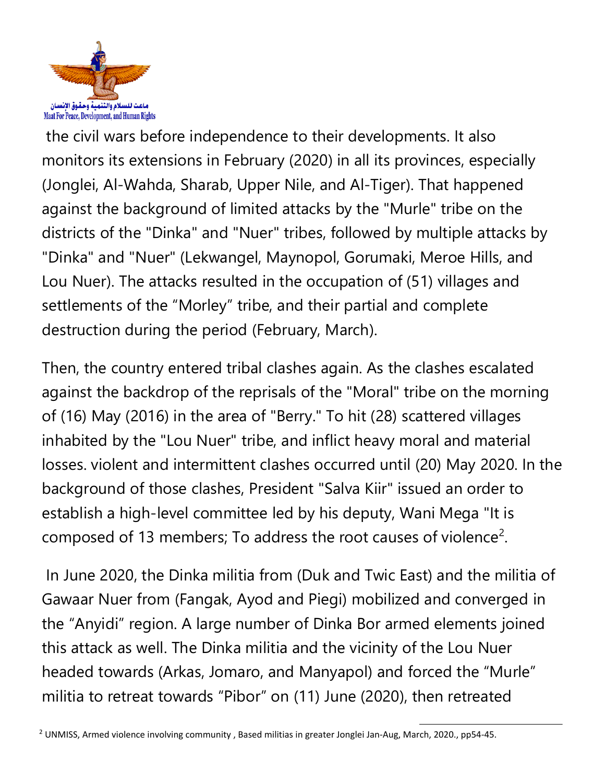

the civil wars before independence to their developments. It also monitors its extensions in February (2020) in all its provinces, especially (Jonglei, Al-Wahda, Sharab, Upper Nile, and Al-Tiger). That happened against the background of limited attacks by the "Murle" tribe on the districts of the "Dinka" and "Nuer" tribes, followed by multiple attacks by "Dinka" and "Nuer" (Lekwangel, Maynopol, Gorumaki, Meroe Hills, and Lou Nuer). The attacks resulted in the occupation of (51) villages and settlements of the "Morley" tribe, and their partial and complete destruction during the period (February, March).

Then, the country entered tribal clashes again. As the clashes escalated against the backdrop of the reprisals of the "Moral" tribe on the morning of (16) May (2016) in the area of "Berry." To hit (28) scattered villages inhabited by the "Lou Nuer" tribe, and inflict heavy moral and material losses. violent and intermittent clashes occurred until (20) May 2020. In the background of those clashes, President "Salva Kiir" issued an order to establish <sup>a</sup> high-level committee led by his deputy, Wani Mega "It is composed of 13 members; To address the root causes of violence<sup>2</sup>.

In June 2020, the Dinka militia from (Duk and Twic East) and the militia of Gawaar Nuer from (Fangak, Ayod and Piegi) mobilized and converged in the "Anyidi" region. A large number of Dinka Bor armed elements joined this attack as well. The Dinka militia and the vicinity of the Lou Nuer headed towards (Arkas, Jomaro, and Manyapol) and forced the "Murle" militia to retreat towards "Pibor" on (11) June (2020), then retreated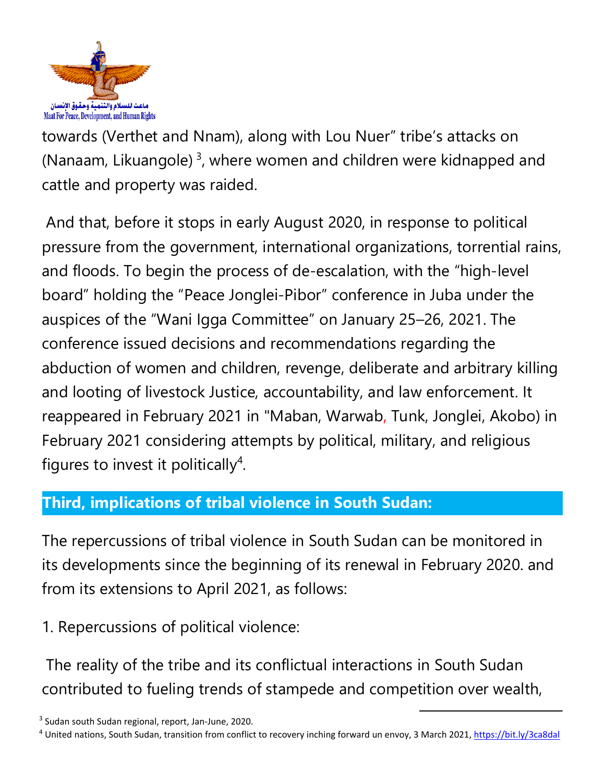

towards (Verthet and Nnam), along with Lou Nuer" tribe'<sup>s</sup> attacks on (Nanaam, Likuangole) <sup>3</sup>, where women and children were kidnapped and cattle and property was raided.

And that, before it stops in early August 2020, in response to political pressure from the government, international organizations, torrential rains, and floods. To begin the process of de-escalation, with the "high-level board" holding the "Peace Jonglei-Pibor" conference in Juba under the auspices of the "Wani Igga Committee" on January 25–26, 2021. The conference issued decisions and recommendations regarding the abduction of women and children, revenge, deliberate and arbitrary killing and looting of livestock Justice, accountability, and law enforcement. It reappeared in February 2021 in "Maban, Warwab, Tunk, Jonglei, Akobo) in February 2021 considering attempts by political, military, and religious figures to invest it politically<sup>4</sup>.

### **Third, implications of tribal violence in South Sudan:**

The repercussions of tribal violence in South Sudan can be monitored in its developments since the beginning of its renewal in February 2020. and from its extensions to April 2021, as follows:

1. Repercussions of political violence:

The reality of the tribe and its conflictual interactions in South Sudan contributed to fueling trends of stampede and competition over wealth,

<sup>&</sup>lt;sup>3</sup> Sudan south Sudan regional, report, Jan-June, 2020.

<sup>4</sup> United nations, South Sudan, transition from conflict to recovery inching forward un envoy, 3 March 2021, <https://bit.ly/3ca8dal>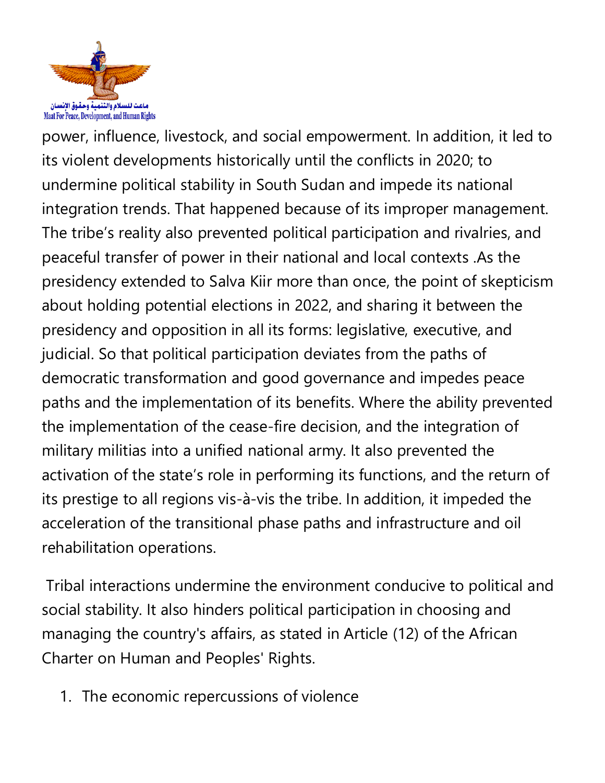

power, influence, livestock, and social empowerment. In addition, it led to its violent developments historically until the conflicts in 2020; to undermine political stability in South Sudan and impede its national integration trends. That happened because of its improper management. The tribe'<sup>s</sup> reality also prevented political participation and rivalries, and peaceful transfer of power in their national and local contexts .As the presidency extended to Salva Kiir more than once, the point of skepticism about holding potential elections in 2022, and sharing it between the presidency and opposition in all its forms: legislative, executive, and judicial. So that political participation deviates from the paths of democratic transformation and good governance and impedes peace paths and the implementation of its benefits. Where the ability prevented the implementation of the cease-fire decision, and the integration of military militias into <sup>a</sup> unified national army. It also prevented the activation of the state'<sup>s</sup> role in performing its functions, and the return of its prestige to all regions vis-à-vis the tribe. In addition, it impeded the acceleration of the transitional phase paths and infrastructure and oil rehabilitation operations.

Tribal interactions undermine the environment conducive to political and social stability. It also hinders political participation in choosing and managing the country's affairs, as stated in Article (12) of the African Charter on Human and Peoples' Rights.

1. The economic repercussions of violence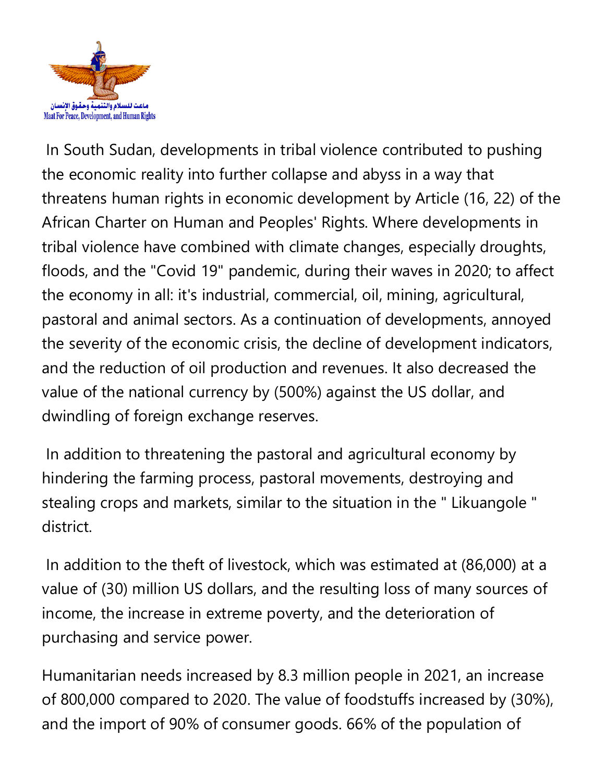

In South Sudan, developments in tribal violence contributed to pushing the economic reality into further collapse and abyss in <sup>a</sup> way that threatens human rights in economic development by Article (16, 22) of the African Charter on Human and Peoples' Rights. Where developments in tribal violence have combined with climate changes, especially droughts, floods, and the "Covid 19" pandemic, during their waves in 2020; to affect the economy in all: it's industrial, commercial, oil, mining, agricultural, pastoral and animal sectors. As <sup>a</sup> continuation of developments, annoyed the severity of the economic crisis, the decline of development indicators, and the reduction of oil production and revenues. It also decreased the value of the national currency by (500%) against the US dollar, and dwindling of foreign exchange reserves.

In addition to threatening the pastoral and agricultural economy by hindering the farming process, pastoral movements, destroying and stealing crops and markets, similar to the situation in the " Likuangole " district.

In addition to the theft of livestock, which was estimated at (86,000) at <sup>a</sup> value of (30) million US dollars, and the resulting loss of many sources of income, the increase in extreme poverty, and the deterioration of purchasing and service power.

Humanitarian needs increased by 8.3 million people in 2021, an increase of 800,000 compared to 2020. The value of foodstuffs increased by (30%), and the import of 90% of consumer goods. 66% of the population of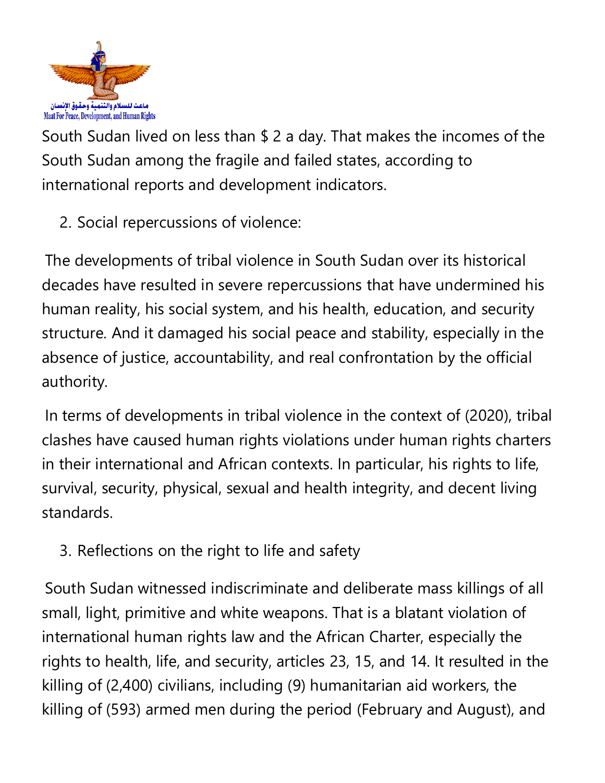

South Sudan lived on less than \$ <sup>2</sup> <sup>a</sup> day. That makes the incomes of the South Sudan among the fragile and failed states, according to international reports and development indicators.

2. Social repercussions of violence:

The developments of tribal violence in South Sudan over its historical decades have resulted in severe repercussions that have undermined his human reality, his social system, and his health, education, and security structure. And it damaged his social peace and stability, especially in the absence of justice, accountability, and real confrontation by the official authority.

In terms of developments in tribal violence in the context of (2020), tribal clashes have caused human rights violations under human rights charters in their international and African contexts. In particular, his rights to life, survival, security, physical, sexual and health integrity, and decent living standards.

3. Reflections on the right to life and safety

South Sudan witnessed indiscriminate and deliberate mass killings of all small, light, primitive and white weapons. That is <sup>a</sup> blatant violation of international human rights law and the African Charter, especially the rights to health, life, and security, articles 23, 15, and 14. It resulted in the killing of (2,400) civilians, including (9) humanitarian aid workers, the killing of (593) armed men during the period (February and August), and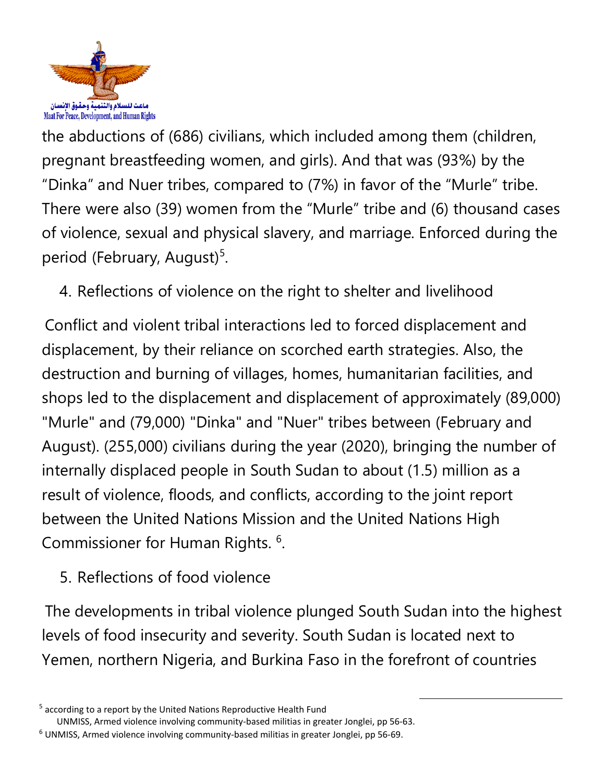

the abductions of (686) civilians, which included among them (children, pregnan<sup>t</sup> breastfeeding women, and girls). And that was (93%) by the "Dinka" and Nuer tribes, compared to (7%) in favor of the "Murle" tribe. There were also (39) women from the "Murle" tribe and (6) thousand cases of violence, sexual and physical slavery, and marriage. Enforced during the period (February, August)<sup>5</sup>.

4. Reflections of violence on the right to shelter and livelihood

Conflict and violent tribal interactions led to forced displacement and displacement, by their reliance on scorched earth strategies. Also, the destruction and burning of villages, homes, humanitarian facilities, and shops led to the displacement and displacement of approximately (89,000) "Murle" and (79,000) "Dinka" and "Nuer" tribes between (February and August). (255,000) civilians during the year (2020), bringing the number of internally displaced people in South Sudan to about (1.5) million as <sup>a</sup> result of violence, floods, and conflicts, according to the joint report between the United Nations Mission and the United Nations High Commissioner for Human Rights.  $^6$ .

5. Reflections of food violence

The developments in tribal violence plunged South Sudan into the highest levels of food insecurity and severity. South Sudan is located next to Yemen, northern Nigeria, and Burkina Faso in the forefront of countries

UNMISS, Armed violence involving community-based militias in greater Jonglei, pp 56-63.

6 UNMISS, Armed violence involving community-based militias in greater Jonglei, pp 56-69.

<sup>5</sup> according to <sup>a</sup> report by the United Nations Reproductive Health Fund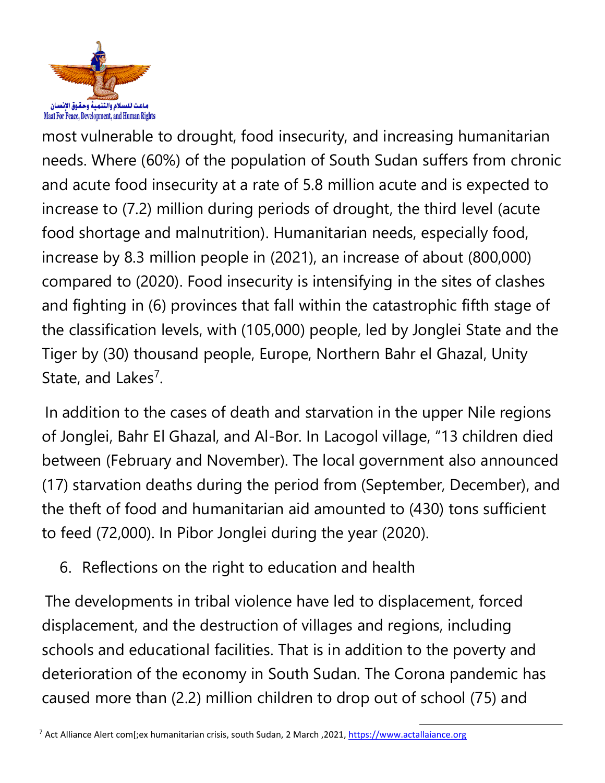

most vulnerable to drought, food insecurity, and increasing humanitarian needs. Where (60%) of the population of South Sudan suffers from chronic and acute food insecurity at <sup>a</sup> rate of 5.8 million acute and is expected to increase to (7.2) million during periods of drought, the third level (acute food shortage and malnutrition). Humanitarian needs, especially food, increase by 8.3 million people in (2021), an increase of about (800,000) compared to (2020). Food insecurity is intensifying in the sites of clashes and fighting in (6) provinces that fall within the catastrophic fifth stage of the classification levels, with (105,000) people, led by Jonglei State and the Tiger by (30) thousand people, Europe, Northern Bahr el Ghazal, Unity State, and Lakes<sup>7</sup>.

In addition to the cases of death and starvation in the upper Nile regions of Jonglei, Bahr El Ghazal, and Al-Bor. In Lacogol village, "13 children died between (February and November). The local governmen<sup>t</sup> also announced (17) starvation deaths during the period from (September, December), and the theft of food and humanitarian aid amounted to (430) tons sufficient to feed (72,000). In Pibor Jonglei during the year (2020).

6. Reflections on the right to education and health

The developments in tribal violence have led to displacement, forced displacement, and the destruction of villages and regions, including schools and educational facilities. That is in addition to the poverty and deterioration of the economy in South Sudan. The Corona pandemic has caused more than (2.2) million children to drop out of school (75) and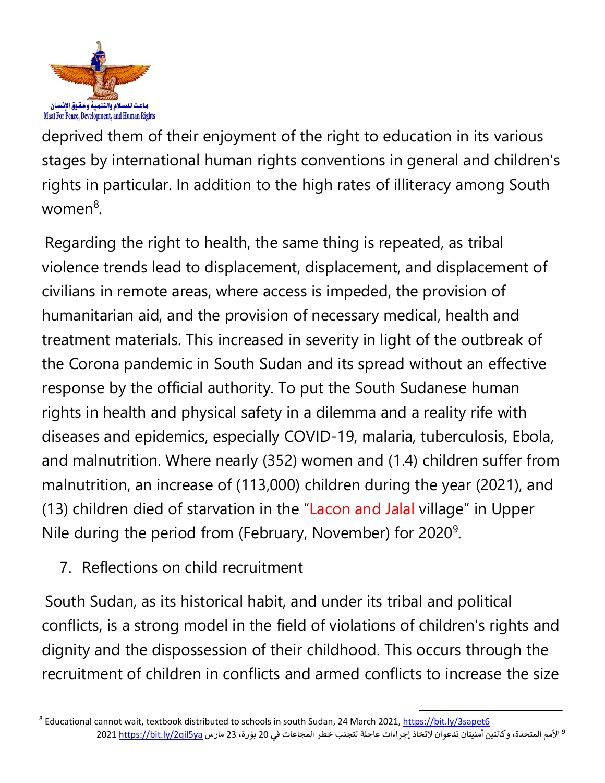

deprived them of their enjoyment of the right to education in its various stages by international human rights conventions in general and children's rights in particular. In addition to the high rates of illiteracy among South women<sup>8</sup> .

Regarding the right to health, the same thing is repeated, as tribal violence trends lead to displacement, displacement, and displacement of civilians in remote areas, where access is impeded, the provision of humanitarian aid, and the provision of necessary medical, health and treatment materials. This increased in severity in light of the outbreak of the Corona pandemic in South Sudan and its spread without an effective response by the official authority. To put the South Sudanese human rights in health and physical safety in <sup>a</sup> dilemma and <sup>a</sup> reality rife with diseases and epidemics, especially COVID-19, malaria, tuberculosis, Ebola, and malnutrition. Where nearly (352) women and (1.4) children suffer from malnutrition, an increase of (113,000) children during the year (2021), and (13) children died of starvation in the "Lacon and Jalal village" in Upper Nile during the period from (February, November) for 2020 $^{\rm 9}$ .

7. Reflections on child recruitment

South Sudan, as its historical habit, and under its tribal and political conflicts, is <sup>a</sup> strong model in the field of violations of children's rights and dignity and the dispossession of their childhood. This occurs through the recruitment of children in conflicts and armed conflicts to increase the size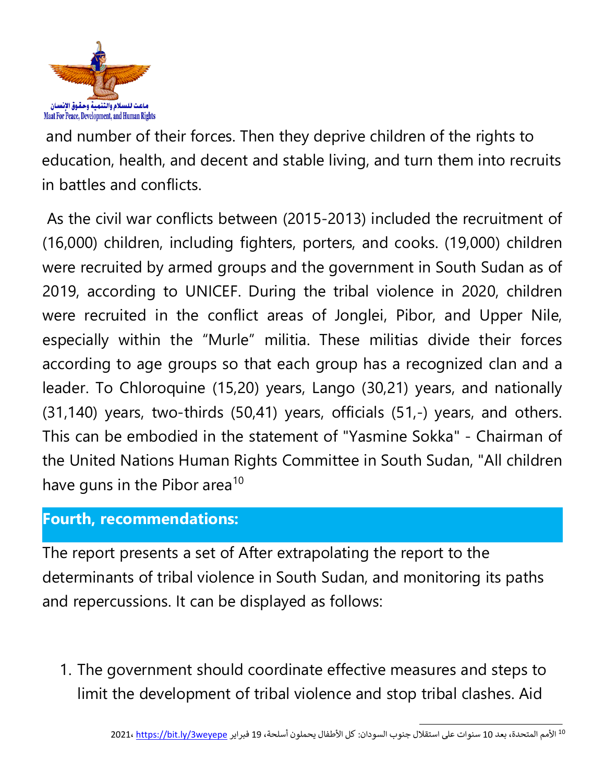

and number of their forces. Then they deprive children of the rights to education, health, and decent and stable living, and turn them into recruits in battles and conflicts.

As the civil war conflicts between (2015-2013) included the recruitment of (16,000) children, including fighters, porters, and cooks. (19,000) children were recruited by armed groups and the governmen<sup>t</sup> in South Sudan as of 2019, according to UNICEF. During the tribal violence in 2020, children were recruited in the conflict areas of Jonglei, Pibor, and Upper Nile, especially within the "Murle" militia. These militias divide their forces according to age groups so that each group has <sup>a</sup> recognized clan and <sup>a</sup> leader. To Chloroquine (15,20) years, Lango (30,21) years, and nationally (31,140) years, two-thirds (50,41) years, officials (51,-) years, and others. This can be embodied in the statement of "Yasmine Sokka" - Chairman of the United Nations Human Rights Committee in South Sudan, "All children have guns in the Pibor area<sup>10</sup>

#### **Fourth, recommendations:**

The report presents <sup>a</sup> set of After extrapolating the report to the determinants of tribal violence in South Sudan, and monitoring its paths and repercussions. It can be displayed as follows:

1. The governmen<sup>t</sup> should coordinate effective measures and steps to limit the development of tribal violence and stop tribal clashes. Aid